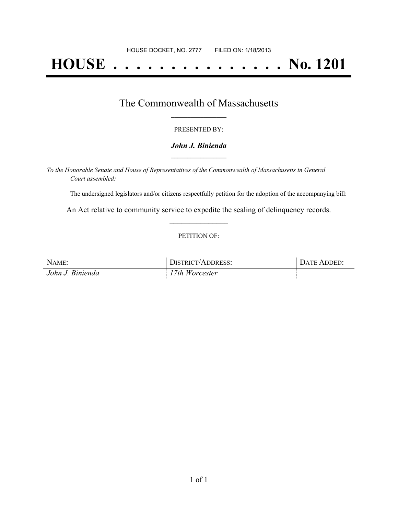# **HOUSE . . . . . . . . . . . . . . . No. 1201**

## The Commonwealth of Massachusetts **\_\_\_\_\_\_\_\_\_\_\_\_\_\_\_\_\_**

#### PRESENTED BY:

#### *John J. Binienda* **\_\_\_\_\_\_\_\_\_\_\_\_\_\_\_\_\_**

*To the Honorable Senate and House of Representatives of the Commonwealth of Massachusetts in General Court assembled:*

The undersigned legislators and/or citizens respectfully petition for the adoption of the accompanying bill:

An Act relative to community service to expedite the sealing of delinquency records. **\_\_\_\_\_\_\_\_\_\_\_\_\_\_\_**

#### PETITION OF:

| NAME:            | DISTRICT/ADDRESS: | DATE ADDED: |
|------------------|-------------------|-------------|
| John J. Binienda | 17th Worcester    |             |